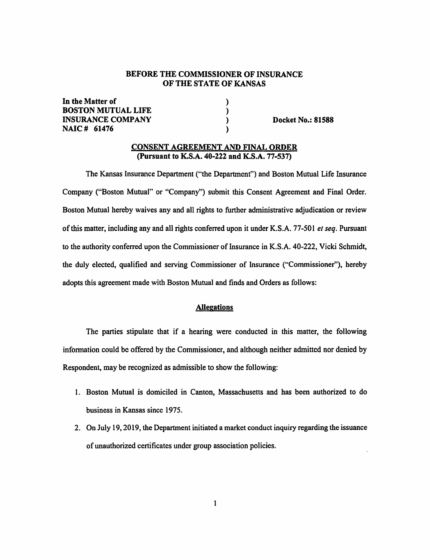### BEFORE THE COMMISSIONER OF INSURANCE OF THE STATE OF KANSAS

) ) ) )

In the Matter of BOSTON MUTUAL LIFE INSURANCE COMPANY NAIC# 61476

Docket No.: 81S88

### CONSENT AGREEMENT AND FINAL ORDER (Pursuant to **K.S.A.** 40-222 and **K.S.A.** 77-537)

The Kansas Insurance Department ("the Department") and Boston Mutual Life Insurance Company ("'Boston Mutual" or "Company") submit this Consent Agreement and Final Order. Boston Mutual hereby waives any and all rights to further administrative adjudication or review of this matter, including any and all rights conferred upon it under **K.S.A.** 77-501 *et seq.* Pursuant to the authority conferred upon the Commissioner of Insurance in **K.S.A.** 40-222, Vicki Schmidt, the duly elected, qualified and serving Commissioner of Insurance ("Commissioner"), hereby adopts this agreement made with Boston Mutual and finds and Orders as follows:

## **Allegations**

The parties stipulate that if a hearing were conducted in this matter, the following information could be offered by the Commissioner, and although neither admitted nor denied by Respondent, may be recognized as admissible to show the following:

- 1. Boston Mutual is domiciled in Canton, Massachusetts and has been authorized to do business in Kansas since 1975.
- 2. On July 19, 2019, the Department initiated a market conduct inquiry regarding the issuance of unauthorized certificates under group association policies.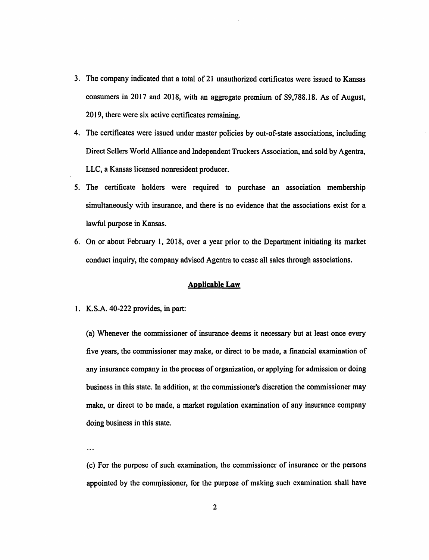- 3. The company indicated that a total of 21 unauthorized certificates were issued to Kansas consumers in 2017 and 2018, with an aggregate premium of \$9,788.18. As of August, 2019, there were six active certificates remaining.
- 4. The certificates were issued under master policies by out-of-state associations, including Direct Sellers World Alliance and Independent Truckers Association, and sold by Agentra, LLC, a Kansas licensed nonresident producer.
- *5.* The certificate holders were required to purchase an association membership simultaneously with insurance, and there is no evidence that the associations exist for a lawful pwpose in Kansas.
- 6. On or about February 1, 2018, over a year prior to the Department initiating its market conduct inquiry, the company advised Agentra to cease all sales through associations.

#### **Applicable Law**

l. **K.S.A.** 40-222 provides, in part:

(a) Whenever the commissioner of insurance deems it necessary but at least once every five years, the commissioner may make, or direct to be made, a financial examination of any insurance company in the process of organization, or applying for admission or doing business in this state. In addition, at the commissioner's discretion the commissioner may make, or direct to be made, a market regulation examination of any insurance company doing business in this state.

. . .

(c) For the purpose of such examination, the commissioner of insurance or the persons appointed by the commissioner, for the purpose of making such examination shall have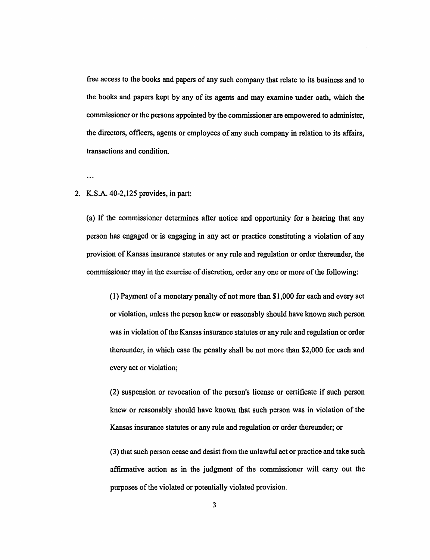free access to the books and papers of any such company that relate to its business and to the books and papers kept by any of its agents and may examine under oath, which the commissioner or the persons appointed by the commissioner are empowered to administer, the directors, officers, agents or employees of any such company in relation to its affairs, transactions and condition.

 $\dddotsc$ 

### 2. **K.S.A.** 40-2,125 provides, in part:

(a) If the commissioner determines after notice and opportunity for a hearing that any person has engaged or is engaging in any act or practice constituting a violation of any provision of Kansas insurance statutes or any rule and regulation or order thereunder, the commissioner may in the exercise of discretion, order any one or more of the following:

( 1) Payment of a monetary penalty of not more than \$1,000 for each and every act or violation, unless the person knew or reasonably should have known such person was in violation of the Kansas insurance statutes or any rule and regulation or order thereunder, in which case the penalty shall be not more than \$2,000 for each and every act or violation;

(2) suspension or revocation of the person's license or certificate if such person knew or reasonably should have known that such person was in violation of the Kansas insurance statutes or any rule and regulation or order thereunder; or

(3) that such person cease and desist from the unlawful act or practice and take such affirmative action as in the judgment of the commissioner will cany out the purposes of the violated or potentially violated provision.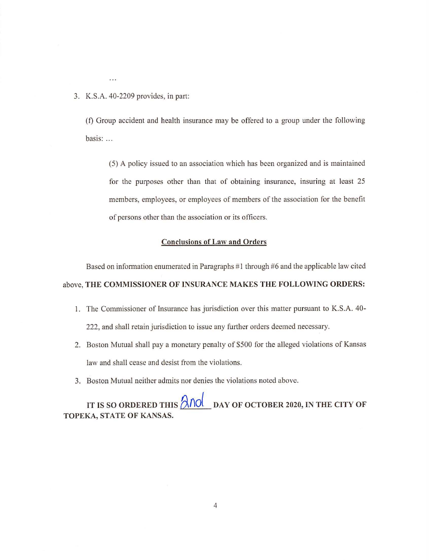3. K.S.A. 40-2209 provides, in pan:

 $\sim$ 

(f) Group accident and health insurance may be offered to a group under the following basis: ...

(5) A policy issued to an association which has been organized and is maintained for the purposes other than that of obtaining insurance, insuring at least 25 members, employees, or employees of members of the association for the benefit of persons other than the association or its officers.

### **Conclusions of Law and Orders**

Based on information enumerated in Paragraphs #1 through #6 and the applicable law cited above, **THE COMMISSIONER OF INSURANCE MAKES THE FOLLOWING ORDERS:** 

- I. The Commissioner of Insurance has jurisdiction over this matter pursuant to **K.S.A.** 40- 222, and shall retain jurisdiction to issue any further orders deemed necessary.
- 2. Boston Mutual shall pay a monetary penalty of \$500 for the alleged violations of Kansas law and shall cease and desist from rhe violations.
- 3. Boston Mutual neither admits nor denies the violations noted above.

IT IS SO ORDERED THIS  $\frac{\partial N}{\partial x}$  DAY OF OCTOBER 2020, IN THE CITY OF **TOPEKA, STATE OF KANSAS.**